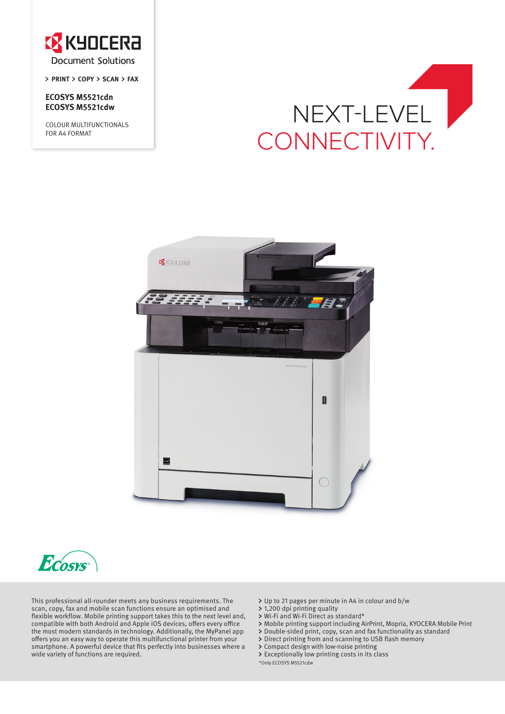

**PRINT COPY SCAN FAX**

**ECOSYS M5521cdn ECOSYS M5521cdw**

COLOUR MULTIFUNCTIONALS FOR A4 FORMAT

# NEXT-LEVEL **D** CONNECTIVITY.





This professional all-rounder meets any business requirements. The scan, copy, fax and mobile scan functions ensure an optimised and flexible workflow. Mobile printing support takes this to the next level and, compatible with both Android and Apple iOS devices, offers every office the most modern standards in technology. Additionally, the MyPanel app offers you an easy way to operate this multifunctional printer from your smartphone. A powerful device that fits perfectly into businesses where a wide variety of functions are required.

- Up to 21 pages per minute in A4 in colour and b/w
- 1,200 dpi printing quality
- Wi-Fi and Wi-Fi Direct as standard\*
- Mobile printing support including AirPrint, Mopria, KYOCERA Mobile Print
- Double-sided print, copy, scan and fax functionality as standard
- Direct printing from and scanning to USB flash memory
- Compact design with low-noise printing
- Exceptionally low printing costs in its class

\*Only ECOSYS M5521cdw